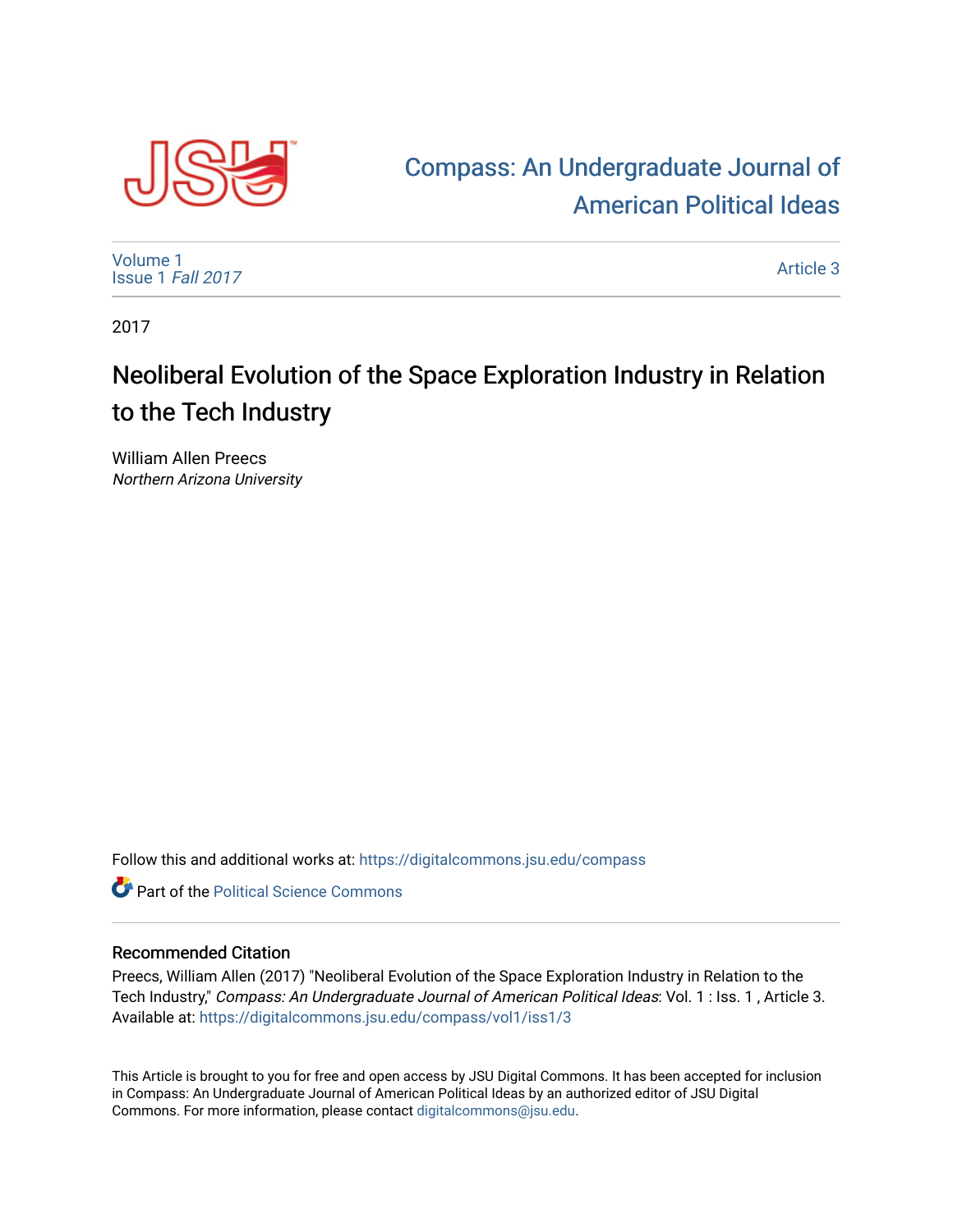

## [Compass: An Undergraduate Journal of](https://digitalcommons.jsu.edu/compass)  [American Political Ideas](https://digitalcommons.jsu.edu/compass)

[Volume 1](https://digitalcommons.jsu.edu/compass/vol1) [Issue 1](https://digitalcommons.jsu.edu/compass/vol1/iss1) Fall 2017

[Article 3](https://digitalcommons.jsu.edu/compass/vol1/iss1/3) 

2017

# Neoliberal Evolution of the Space Exploration Industry in Relation to the Tech Industry

William Allen Preecs Northern Arizona University

Follow this and additional works at: [https://digitalcommons.jsu.edu/compass](https://digitalcommons.jsu.edu/compass?utm_source=digitalcommons.jsu.edu%2Fcompass%2Fvol1%2Fiss1%2F3&utm_medium=PDF&utm_campaign=PDFCoverPages)

**C** Part of the Political Science Commons

#### Recommended Citation

Preecs, William Allen (2017) "Neoliberal Evolution of the Space Exploration Industry in Relation to the Tech Industry," Compass: An Undergraduate Journal of American Political Ideas: Vol. 1 : Iss. 1 , Article 3. Available at: [https://digitalcommons.jsu.edu/compass/vol1/iss1/3](https://digitalcommons.jsu.edu/compass/vol1/iss1/3?utm_source=digitalcommons.jsu.edu%2Fcompass%2Fvol1%2Fiss1%2F3&utm_medium=PDF&utm_campaign=PDFCoverPages)

This Article is brought to you for free and open access by JSU Digital Commons. It has been accepted for inclusion in Compass: An Undergraduate Journal of American Political Ideas by an authorized editor of JSU Digital Commons. For more information, please contact [digitalcommons@jsu.edu.](mailto:digitalcommons@jsu.edu)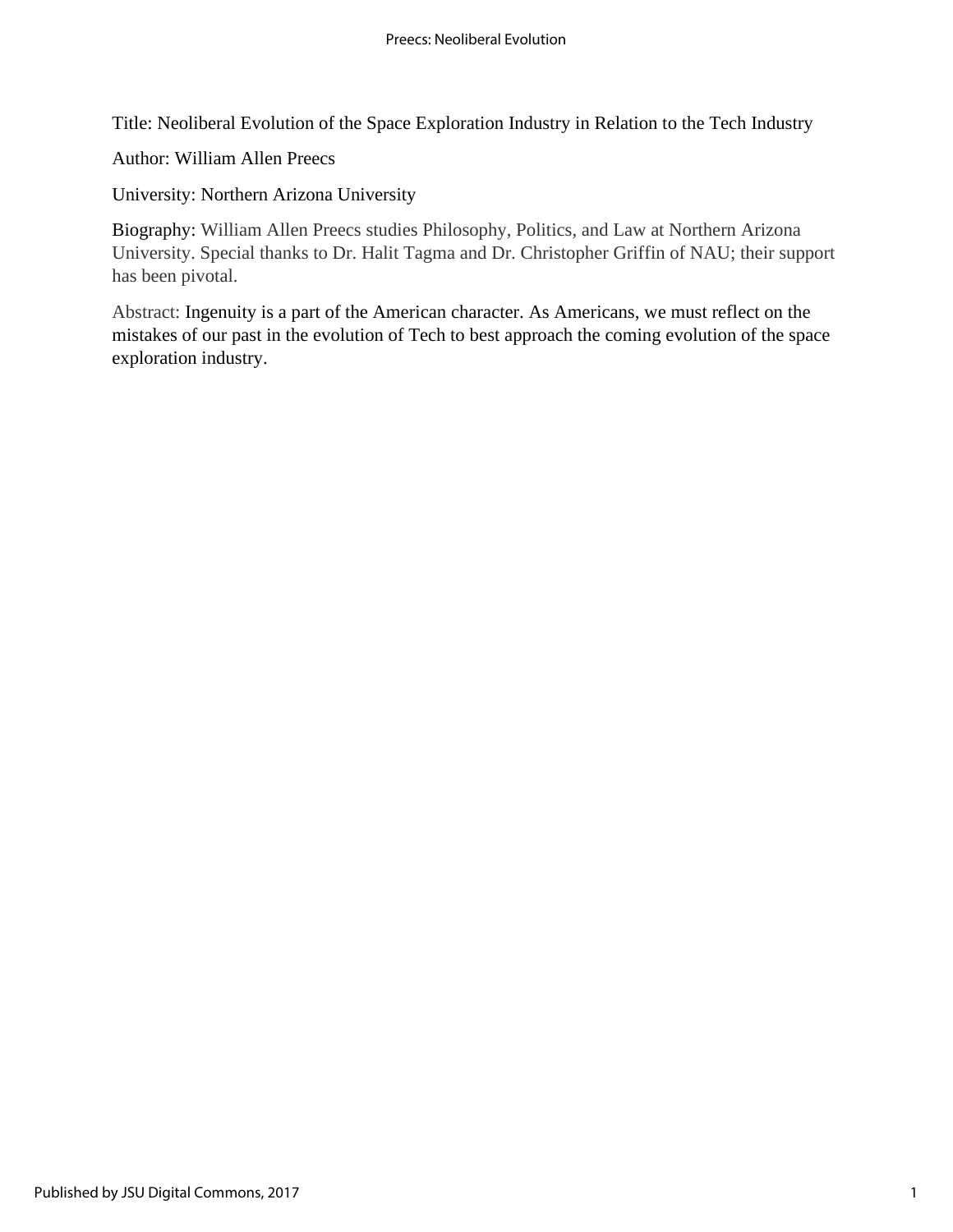Title: Neoliberal Evolution of the Space Exploration Industry in Relation to the Tech Industry

Author: William Allen Preecs

University: Northern Arizona University

Biography: William Allen Preecs studies Philosophy, Politics, and Law at Northern Arizona University. Special thanks to Dr. Halit Tagma and Dr. Christopher Griffin of NAU; their support has been pivotal.

Abstract: Ingenuity is a part of the American character. As Americans, we must reflect on the mistakes of our past in the evolution of Tech to best approach the coming evolution of the space exploration industry.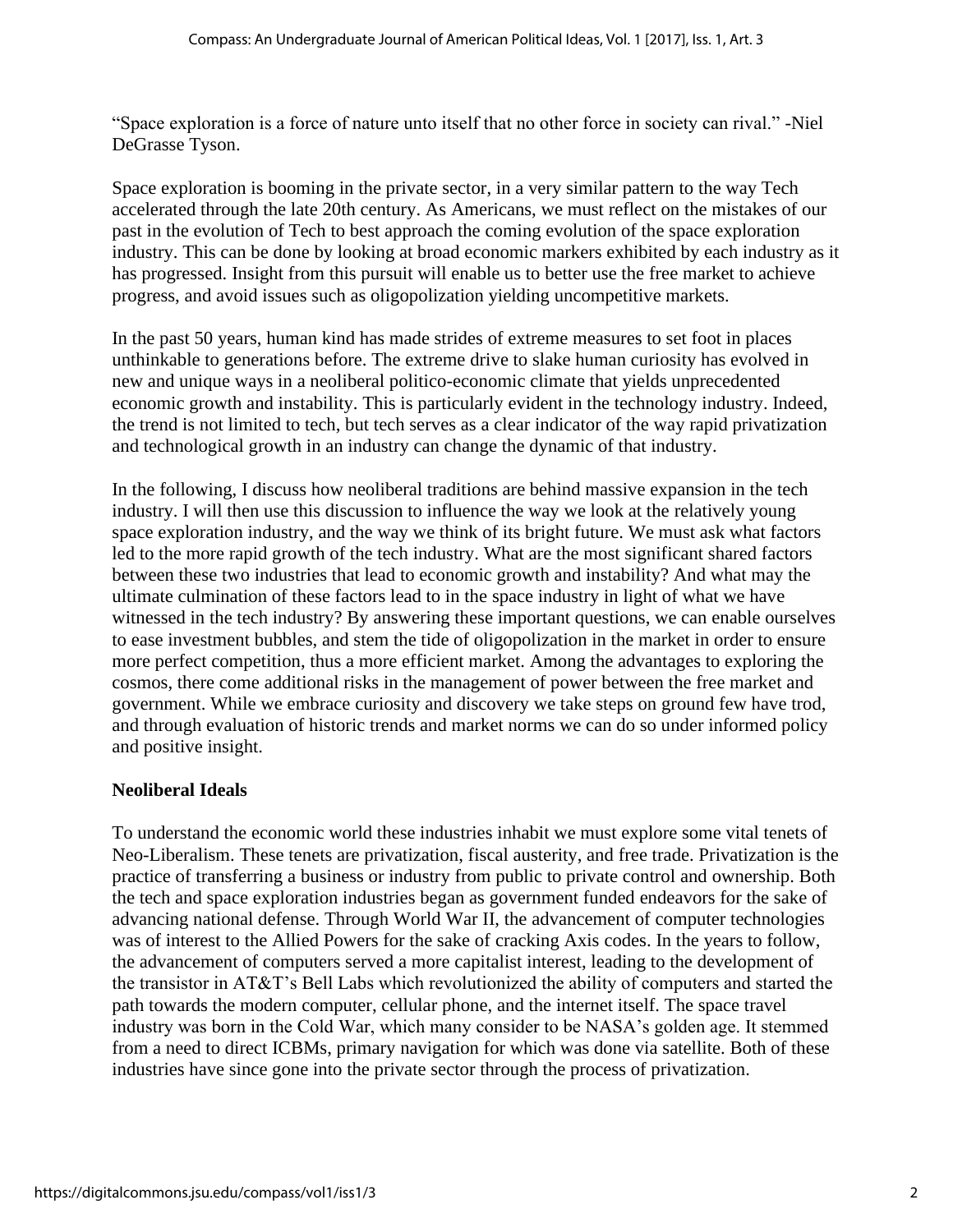"Space exploration is a force of nature unto itself that no other force in society can rival." -Niel DeGrasse Tyson.

Space exploration is booming in the private sector, in a very similar pattern to the way Tech accelerated through the late 20th century. As Americans, we must reflect on the mistakes of our past in the evolution of Tech to best approach the coming evolution of the space exploration industry. This can be done by looking at broad economic markers exhibited by each industry as it has progressed. Insight from this pursuit will enable us to better use the free market to achieve progress, and avoid issues such as oligopolization yielding uncompetitive markets.

In the past 50 years, human kind has made strides of extreme measures to set foot in places unthinkable to generations before. The extreme drive to slake human curiosity has evolved in new and unique ways in a neoliberal politico-economic climate that yields unprecedented economic growth and instability. This is particularly evident in the technology industry. Indeed, the trend is not limited to tech, but tech serves as a clear indicator of the way rapid privatization and technological growth in an industry can change the dynamic of that industry.

In the following, I discuss how neoliberal traditions are behind massive expansion in the tech industry. I will then use this discussion to influence the way we look at the relatively young space exploration industry, and the way we think of its bright future. We must ask what factors led to the more rapid growth of the tech industry. What are the most significant shared factors between these two industries that lead to economic growth and instability? And what may the ultimate culmination of these factors lead to in the space industry in light of what we have witnessed in the tech industry? By answering these important questions, we can enable ourselves to ease investment bubbles, and stem the tide of oligopolization in the market in order to ensure more perfect competition, thus a more efficient market. Among the advantages to exploring the cosmos, there come additional risks in the management of power between the free market and government. While we embrace curiosity and discovery we take steps on ground few have trod, and through evaluation of historic trends and market norms we can do so under informed policy and positive insight.

#### **Neoliberal Ideals**

To understand the economic world these industries inhabit we must explore some vital tenets of Neo-Liberalism. These tenets are privatization, fiscal austerity, and free trade. Privatization is the practice of transferring a business or industry from public to private control and ownership. Both the tech and space exploration industries began as government funded endeavors for the sake of advancing national defense. Through World War II, the advancement of computer technologies was of interest to the Allied Powers for the sake of cracking Axis codes. In the years to follow, the advancement of computers served a more capitalist interest, leading to the development of the transistor in AT&T's Bell Labs which revolutionized the ability of computers and started the path towards the modern computer, cellular phone, and the internet itself. The space travel industry was born in the Cold War, which many consider to be NASA's golden age. It stemmed from a need to direct ICBMs, primary navigation for which was done via satellite. Both of these industries have since gone into the private sector through the process of privatization.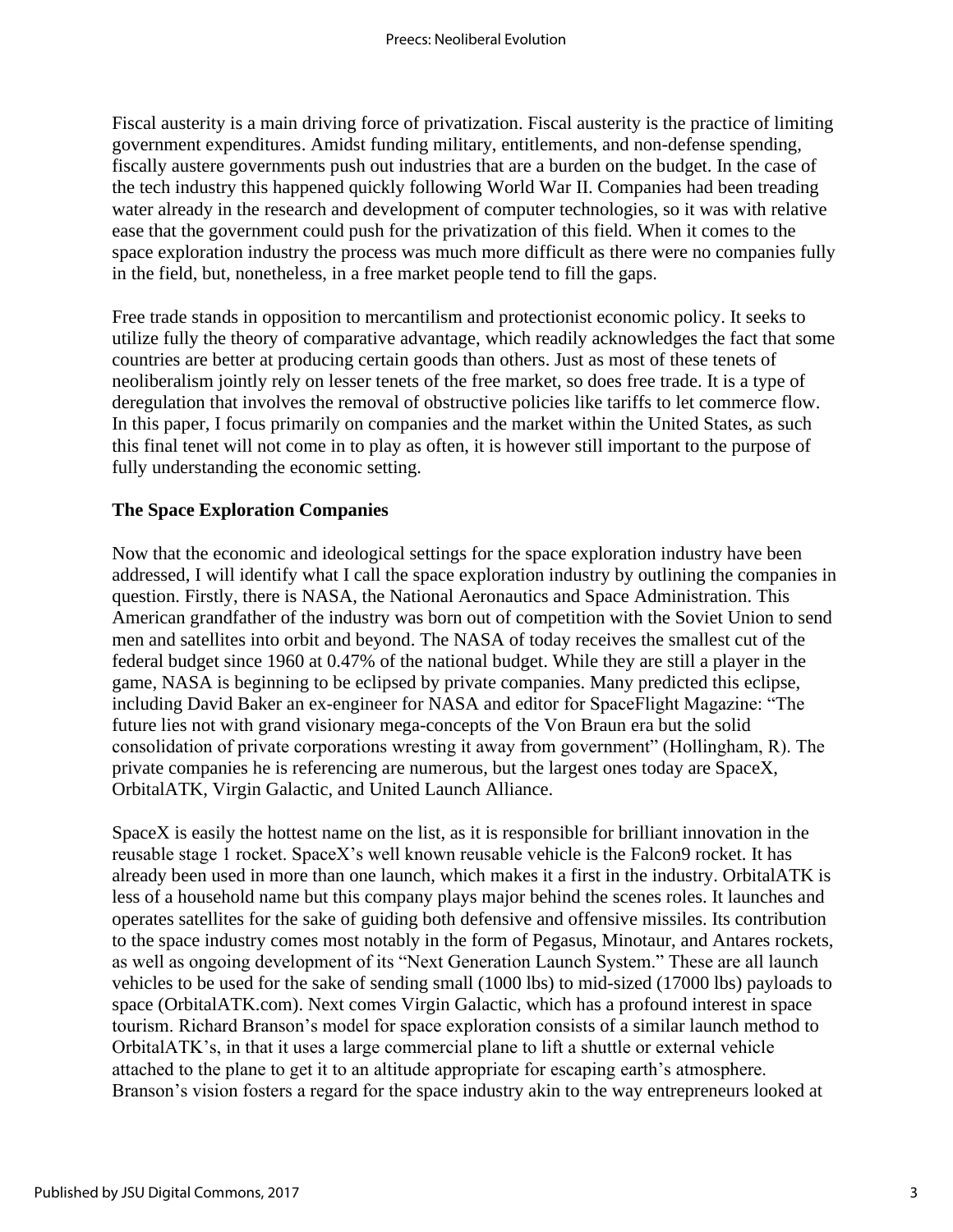Fiscal austerity is a main driving force of privatization. Fiscal austerity is the practice of limiting government expenditures. Amidst funding military, entitlements, and non-defense spending, fiscally austere governments push out industries that are a burden on the budget. In the case of the tech industry this happened quickly following World War II. Companies had been treading water already in the research and development of computer technologies, so it was with relative ease that the government could push for the privatization of this field. When it comes to the space exploration industry the process was much more difficult as there were no companies fully in the field, but, nonetheless, in a free market people tend to fill the gaps.

Free trade stands in opposition to mercantilism and protectionist economic policy. It seeks to utilize fully the theory of comparative advantage, which readily acknowledges the fact that some countries are better at producing certain goods than others. Just as most of these tenets of neoliberalism jointly rely on lesser tenets of the free market, so does free trade. It is a type of deregulation that involves the removal of obstructive policies like tariffs to let commerce flow. In this paper, I focus primarily on companies and the market within the United States, as such this final tenet will not come in to play as often, it is however still important to the purpose of fully understanding the economic setting.

#### **The Space Exploration Companies**

Now that the economic and ideological settings for the space exploration industry have been addressed, I will identify what I call the space exploration industry by outlining the companies in question. Firstly, there is NASA, the National Aeronautics and Space Administration. This American grandfather of the industry was born out of competition with the Soviet Union to send men and satellites into orbit and beyond. The NASA of today receives the smallest cut of the federal budget since 1960 at 0.47% of the national budget. While they are still a player in the game, NASA is beginning to be eclipsed by private companies. Many predicted this eclipse, including David Baker an ex-engineer for NASA and editor for SpaceFlight Magazine: "The future lies not with grand visionary mega-concepts of the Von Braun era but the solid consolidation of private corporations wresting it away from government" (Hollingham, R). The private companies he is referencing are numerous, but the largest ones today are SpaceX, OrbitalATK, Virgin Galactic, and United Launch Alliance.

SpaceX is easily the hottest name on the list, as it is responsible for brilliant innovation in the reusable stage 1 rocket. SpaceX's well known reusable vehicle is the Falcon9 rocket. It has already been used in more than one launch, which makes it a first in the industry. OrbitalATK is less of a household name but this company plays major behind the scenes roles. It launches and operates satellites for the sake of guiding both defensive and offensive missiles. Its contribution to the space industry comes most notably in the form of Pegasus, Minotaur, and Antares rockets, as well as ongoing development of its "Next Generation Launch System." These are all launch vehicles to be used for the sake of sending small (1000 lbs) to mid-sized (17000 lbs) payloads to space (OrbitalATK.com). Next comes Virgin Galactic, which has a profound interest in space tourism. Richard Branson's model for space exploration consists of a similar launch method to OrbitalATK's, in that it uses a large commercial plane to lift a shuttle or external vehicle attached to the plane to get it to an altitude appropriate for escaping earth's atmosphere. Branson's vision fosters a regard for the space industry akin to the way entrepreneurs looked at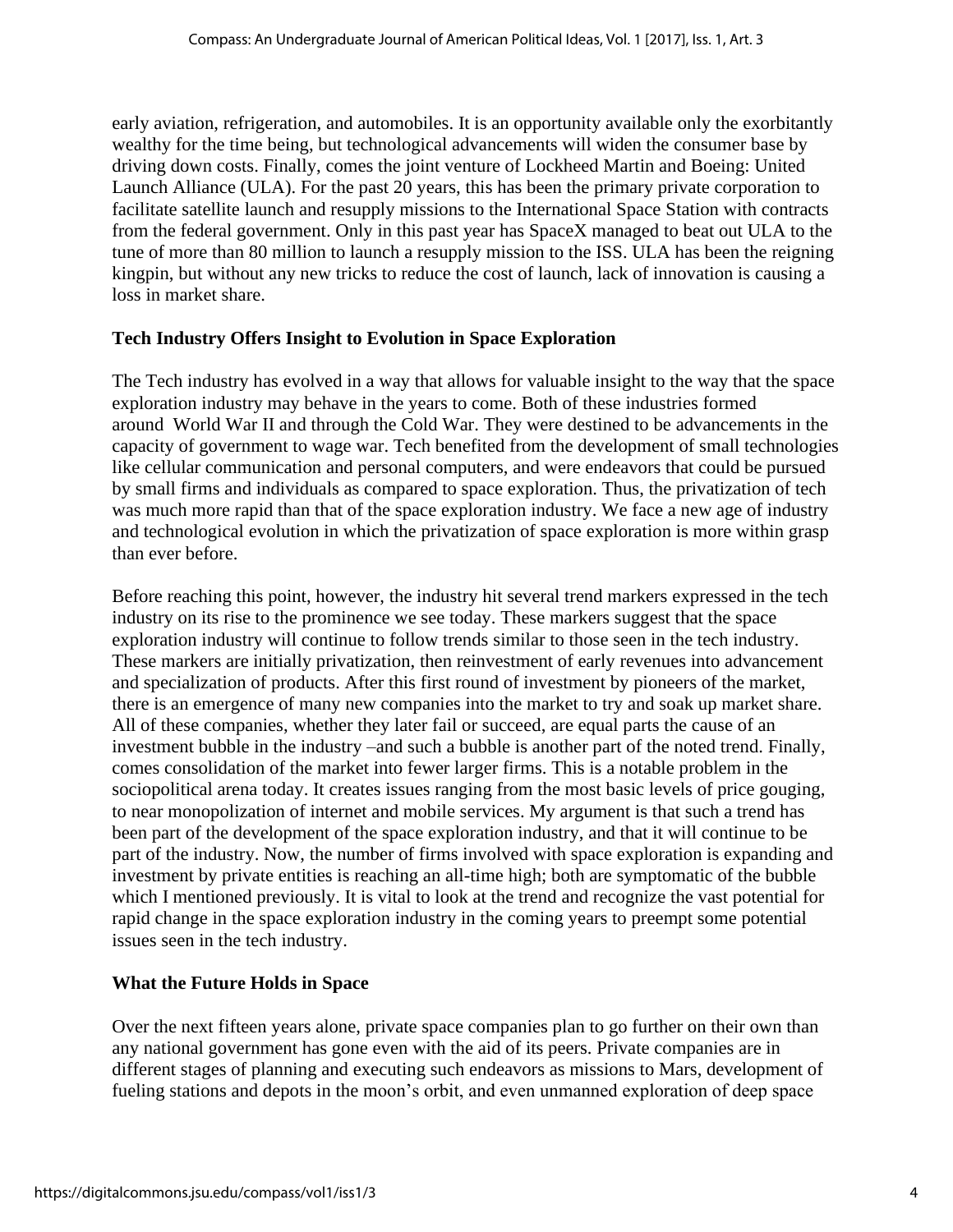early aviation, refrigeration, and automobiles. It is an opportunity available only the exorbitantly wealthy for the time being, but technological advancements will widen the consumer base by driving down costs. Finally, comes the joint venture of Lockheed Martin and Boeing: United Launch Alliance (ULA). For the past 20 years, this has been the primary private corporation to facilitate satellite launch and resupply missions to the International Space Station with contracts from the federal government. Only in this past year has SpaceX managed to beat out ULA to the tune of more than 80 million to launch a resupply mission to the ISS. ULA has been the reigning kingpin, but without any new tricks to reduce the cost of launch, lack of innovation is causing a loss in market share.

#### **Tech Industry Offers Insight to Evolution in Space Exploration**

The Tech industry has evolved in a way that allows for valuable insight to the way that the space exploration industry may behave in the years to come. Both of these industries formed around World War II and through the Cold War. They were destined to be advancements in the capacity of government to wage war. Tech benefited from the development of small technologies like cellular communication and personal computers, and were endeavors that could be pursued by small firms and individuals as compared to space exploration. Thus, the privatization of tech was much more rapid than that of the space exploration industry. We face a new age of industry and technological evolution in which the privatization of space exploration is more within grasp than ever before.

Before reaching this point, however, the industry hit several trend markers expressed in the tech industry on its rise to the prominence we see today. These markers suggest that the space exploration industry will continue to follow trends similar to those seen in the tech industry. These markers are initially privatization, then reinvestment of early revenues into advancement and specialization of products. After this first round of investment by pioneers of the market, there is an emergence of many new companies into the market to try and soak up market share. All of these companies, whether they later fail or succeed, are equal parts the cause of an investment bubble in the industry –and such a bubble is another part of the noted trend. Finally, comes consolidation of the market into fewer larger firms. This is a notable problem in the sociopolitical arena today. It creates issues ranging from the most basic levels of price gouging, to near monopolization of internet and mobile services. My argument is that such a trend has been part of the development of the space exploration industry, and that it will continue to be part of the industry. Now, the number of firms involved with space exploration is expanding and investment by private entities is reaching an all-time high; both are symptomatic of the bubble which I mentioned previously. It is vital to look at the trend and recognize the vast potential for rapid change in the space exploration industry in the coming years to preempt some potential issues seen in the tech industry.

#### **What the Future Holds in Space**

Over the next fifteen years alone, private space companies plan to go further on their own than any national government has gone even with the aid of its peers. Private companies are in different stages of planning and executing such endeavors as missions to Mars, development of fueling stations and depots in the moon's orbit, and even unmanned exploration of deep space